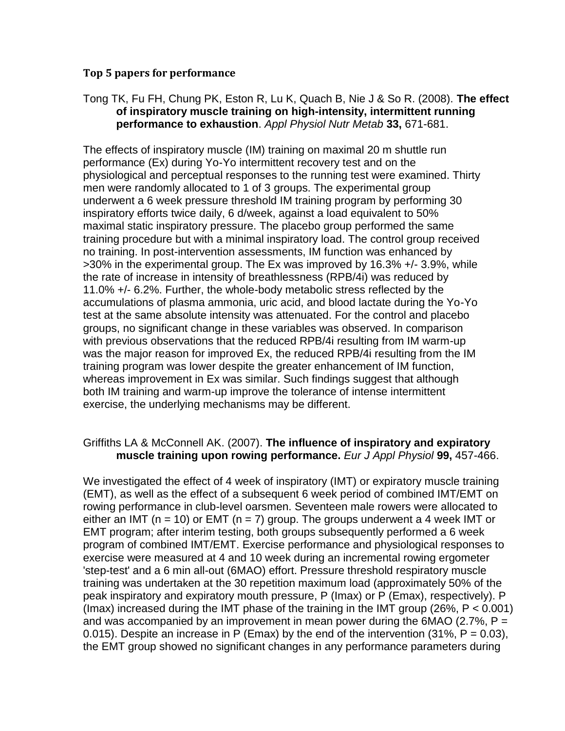## **Top 5 papers for performance**

## Tong TK, Fu FH, Chung PK, Eston R, Lu K, Quach B, Nie J & So R. (2008). **The effect of inspiratory muscle training on high-intensity, intermittent running performance to exhaustion**. *Appl Physiol Nutr Metab* **33,** 671-681.

The effects of inspiratory muscle (IM) training on maximal 20 m shuttle run performance (Ex) during Yo-Yo intermittent recovery test and on the physiological and perceptual responses to the running test were examined. Thirty men were randomly allocated to 1 of 3 groups. The experimental group underwent a 6 week pressure threshold IM training program by performing 30 inspiratory efforts twice daily, 6 d/week, against a load equivalent to 50% maximal static inspiratory pressure. The placebo group performed the same training procedure but with a minimal inspiratory load. The control group received no training. In post-intervention assessments, IM function was enhanced by >30% in the experimental group. The Ex was improved by 16.3% +/- 3.9%, while the rate of increase in intensity of breathlessness (RPB/4i) was reduced by 11.0% +/- 6.2%. Further, the whole-body metabolic stress reflected by the accumulations of plasma ammonia, uric acid, and blood lactate during the Yo-Yo test at the same absolute intensity was attenuated. For the control and placebo groups, no significant change in these variables was observed. In comparison with previous observations that the reduced RPB/4i resulting from IM warm-up was the major reason for improved Ex, the reduced RPB/4i resulting from the IM training program was lower despite the greater enhancement of IM function, whereas improvement in Ex was similar. Such findings suggest that although both IM training and warm-up improve the tolerance of intense intermittent exercise, the underlying mechanisms may be different.

# Griffiths LA & McConnell AK. (2007). **The influence of inspiratory and expiratory muscle training upon rowing performance.** *Eur J Appl Physiol* **99,** 457-466.

We investigated the effect of 4 week of inspiratory (IMT) or expiratory muscle training (EMT), as well as the effect of a subsequent 6 week period of combined IMT/EMT on rowing performance in club-level oarsmen. Seventeen male rowers were allocated to either an IMT ( $n = 10$ ) or EMT ( $n = 7$ ) group. The groups underwent a 4 week IMT or EMT program; after interim testing, both groups subsequently performed a 6 week program of combined IMT/EMT. Exercise performance and physiological responses to exercise were measured at 4 and 10 week during an incremental rowing ergometer 'step-test' and a 6 min all-out (6MAO) effort. Pressure threshold respiratory muscle training was undertaken at the 30 repetition maximum load (approximately 50% of the peak inspiratory and expiratory mouth pressure, P (Imax) or P (Emax), respectively). P (Imax) increased during the IMT phase of the training in the IMT group (26%,  $P < 0.001$ ) and was accompanied by an improvement in mean power during the 6MAO (2.7%,  $P =$ 0.015). Despite an increase in P (Emax) by the end of the intervention (31%,  $P = 0.03$ ), the EMT group showed no significant changes in any performance parameters during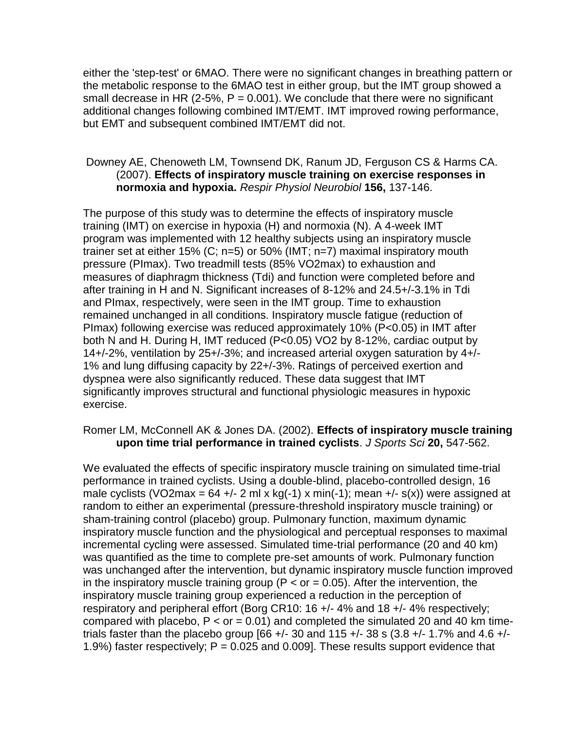either the 'step-test' or 6MAO. There were no significant changes in breathing pattern or the metabolic response to the 6MAO test in either group, but the IMT group showed a small decrease in HR (2-5%,  $P = 0.001$ ). We conclude that there were no significant additional changes following combined IMT/EMT. IMT improved rowing performance, but EMT and subsequent combined IMT/EMT did not.

### Downey AE, Chenoweth LM, Townsend DK, Ranum JD, Ferguson CS & Harms CA. (2007). **Effects of inspiratory muscle training on exercise responses in normoxia and hypoxia.** *Respir Physiol Neurobiol* **156,** 137-146.

The purpose of this study was to determine the effects of inspiratory muscle training (IMT) on exercise in hypoxia (H) and normoxia (N). A 4-week IMT program was implemented with 12 healthy subjects using an inspiratory muscle trainer set at either 15% (C; n=5) or 50% (IMT; n=7) maximal inspiratory mouth pressure (PImax). Two treadmill tests (85% VO2max) to exhaustion and measures of diaphragm thickness (Tdi) and function were completed before and after training in H and N. Significant increases of 8-12% and 24.5+/-3.1% in Tdi and PImax, respectively, were seen in the IMT group. Time to exhaustion remained unchanged in all conditions. Inspiratory muscle fatigue (reduction of PImax) following exercise was reduced approximately 10% (P<0.05) in IMT after both N and H. During H, IMT reduced (P<0.05) VO2 by 8-12%, cardiac output by 14+/-2%, ventilation by 25+/-3%; and increased arterial oxygen saturation by 4+/- 1% and lung diffusing capacity by 22+/-3%. Ratings of perceived exertion and dyspnea were also significantly reduced. These data suggest that IMT significantly improves structural and functional physiologic measures in hypoxic exercise.

## Romer LM, McConnell AK & Jones DA. (2002). **Effects of inspiratory muscle training upon time trial performance in trained cyclists**. *J Sports Sci* **20,** 547-562.

We evaluated the effects of specific inspiratory muscle training on simulated time-trial performance in trained cyclists. Using a double-blind, placebo-controlled design, 16 male cyclists (VO2max =  $64 +/- 2$  ml x kg(-1) x min(-1); mean  $+/- s(x)$ ) were assigned at random to either an experimental (pressure-threshold inspiratory muscle training) or sham-training control (placebo) group. Pulmonary function, maximum dynamic inspiratory muscle function and the physiological and perceptual responses to maximal incremental cycling were assessed. Simulated time-trial performance (20 and 40 km) was quantified as the time to complete pre-set amounts of work. Pulmonary function was unchanged after the intervention, but dynamic inspiratory muscle function improved in the inspiratory muscle training group ( $P < or = 0.05$ ). After the intervention, the inspiratory muscle training group experienced a reduction in the perception of respiratory and peripheral effort (Borg CR10: 16 +/- 4% and 18 +/- 4% respectively; compared with placebo,  $P < or = 0.01$ ) and completed the simulated 20 and 40 km timetrials faster than the placebo group [66 +/- 30 and 115 +/- 38 s (3.8 +/- 1.7% and 4.6 +/-1.9%) faster respectively;  $P = 0.025$  and 0.009]. These results support evidence that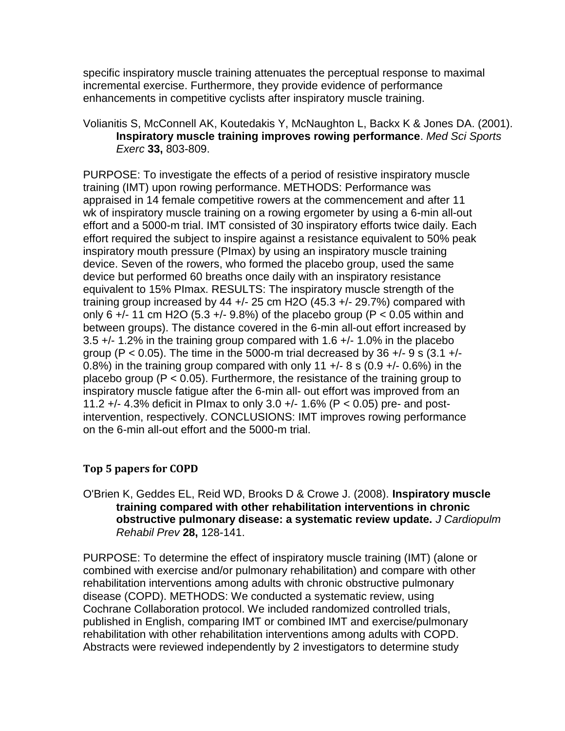specific inspiratory muscle training attenuates the perceptual response to maximal incremental exercise. Furthermore, they provide evidence of performance enhancements in competitive cyclists after inspiratory muscle training.

## Volianitis S, McConnell AK, Koutedakis Y, McNaughton L, Backx K & Jones DA. (2001). **Inspiratory muscle training improves rowing performance**. *Med Sci Sports Exerc* **33,** 803-809.

PURPOSE: To investigate the effects of a period of resistive inspiratory muscle training (IMT) upon rowing performance. METHODS: Performance was appraised in 14 female competitive rowers at the commencement and after 11 wk of inspiratory muscle training on a rowing ergometer by using a 6-min all-out effort and a 5000-m trial. IMT consisted of 30 inspiratory efforts twice daily. Each effort required the subject to inspire against a resistance equivalent to 50% peak inspiratory mouth pressure (PImax) by using an inspiratory muscle training device. Seven of the rowers, who formed the placebo group, used the same device but performed 60 breaths once daily with an inspiratory resistance equivalent to 15% PImax. RESULTS: The inspiratory muscle strength of the training group increased by 44  $+/-$  25 cm H2O (45.3  $+/-$  29.7%) compared with only 6  $+/-$  11 cm H2O (5.3  $+/-$  9.8%) of the placebo group (P < 0.05 within and between groups). The distance covered in the 6-min all-out effort increased by 3.5 +/- 1.2% in the training group compared with 1.6 +/- 1.0% in the placebo group (P < 0.05). The time in the 5000-m trial decreased by 36  $+/-$  9 s (3.1  $+/-$ 0.8%) in the training group compared with only 11  $+/-$  8 s (0.9  $+/-$  0.6%) in the placebo group ( $P < 0.05$ ). Furthermore, the resistance of the training group to inspiratory muscle fatigue after the 6-min all- out effort was improved from an 11.2 +/- 4.3% deficit in PImax to only 3.0 +/- 1.6% (P < 0.05) pre- and postintervention, respectively. CONCLUSIONS: IMT improves rowing performance on the 6-min all-out effort and the 5000-m trial.

# **Top 5 papers for COPD**

O'Brien K, Geddes EL, Reid WD, Brooks D & Crowe J. (2008). **Inspiratory muscle training compared with other rehabilitation interventions in chronic obstructive pulmonary disease: a systematic review update.** *J Cardiopulm Rehabil Prev* **28,** 128-141.

PURPOSE: To determine the effect of inspiratory muscle training (IMT) (alone or combined with exercise and/or pulmonary rehabilitation) and compare with other rehabilitation interventions among adults with chronic obstructive pulmonary disease (COPD). METHODS: We conducted a systematic review, using Cochrane Collaboration protocol. We included randomized controlled trials, published in English, comparing IMT or combined IMT and exercise/pulmonary rehabilitation with other rehabilitation interventions among adults with COPD. Abstracts were reviewed independently by 2 investigators to determine study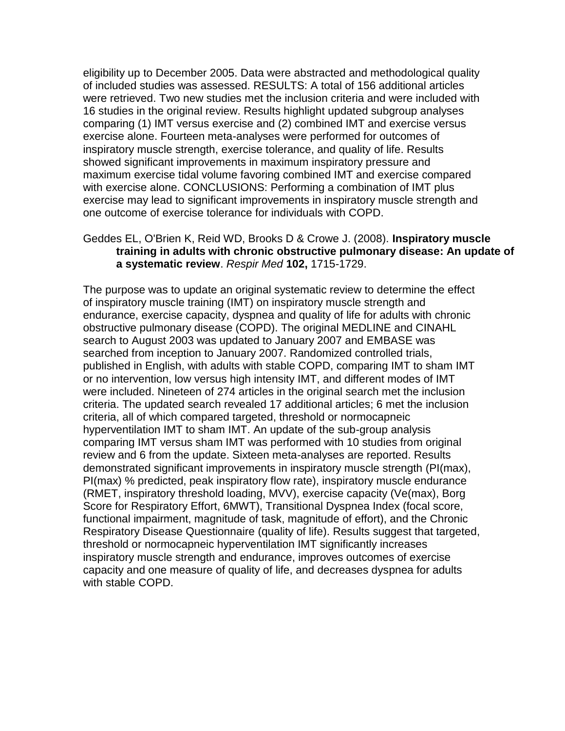eligibility up to December 2005. Data were abstracted and methodological quality of included studies was assessed. RESULTS: A total of 156 additional articles were retrieved. Two new studies met the inclusion criteria and were included with 16 studies in the original review. Results highlight updated subgroup analyses comparing (1) IMT versus exercise and (2) combined IMT and exercise versus exercise alone. Fourteen meta-analyses were performed for outcomes of inspiratory muscle strength, exercise tolerance, and quality of life. Results showed significant improvements in maximum inspiratory pressure and maximum exercise tidal volume favoring combined IMT and exercise compared with exercise alone. CONCLUSIONS: Performing a combination of IMT plus exercise may lead to significant improvements in inspiratory muscle strength and one outcome of exercise tolerance for individuals with COPD.

## Geddes EL, O'Brien K, Reid WD, Brooks D & Crowe J. (2008). **Inspiratory muscle training in adults with chronic obstructive pulmonary disease: An update of a systematic review**. *Respir Med* **102,** 1715-1729.

The purpose was to update an original systematic review to determine the effect of inspiratory muscle training (IMT) on inspiratory muscle strength and endurance, exercise capacity, dyspnea and quality of life for adults with chronic obstructive pulmonary disease (COPD). The original MEDLINE and CINAHL search to August 2003 was updated to January 2007 and EMBASE was searched from inception to January 2007. Randomized controlled trials, published in English, with adults with stable COPD, comparing IMT to sham IMT or no intervention, low versus high intensity IMT, and different modes of IMT were included. Nineteen of 274 articles in the original search met the inclusion criteria. The updated search revealed 17 additional articles; 6 met the inclusion criteria, all of which compared targeted, threshold or normocapneic hyperventilation IMT to sham IMT. An update of the sub-group analysis comparing IMT versus sham IMT was performed with 10 studies from original review and 6 from the update. Sixteen meta-analyses are reported. Results demonstrated significant improvements in inspiratory muscle strength (PI(max), PI(max) % predicted, peak inspiratory flow rate), inspiratory muscle endurance (RMET, inspiratory threshold loading, MVV), exercise capacity (Ve(max), Borg Score for Respiratory Effort, 6MWT), Transitional Dyspnea Index (focal score, functional impairment, magnitude of task, magnitude of effort), and the Chronic Respiratory Disease Questionnaire (quality of life). Results suggest that targeted, threshold or normocapneic hyperventilation IMT significantly increases inspiratory muscle strength and endurance, improves outcomes of exercise capacity and one measure of quality of life, and decreases dyspnea for adults with stable COPD.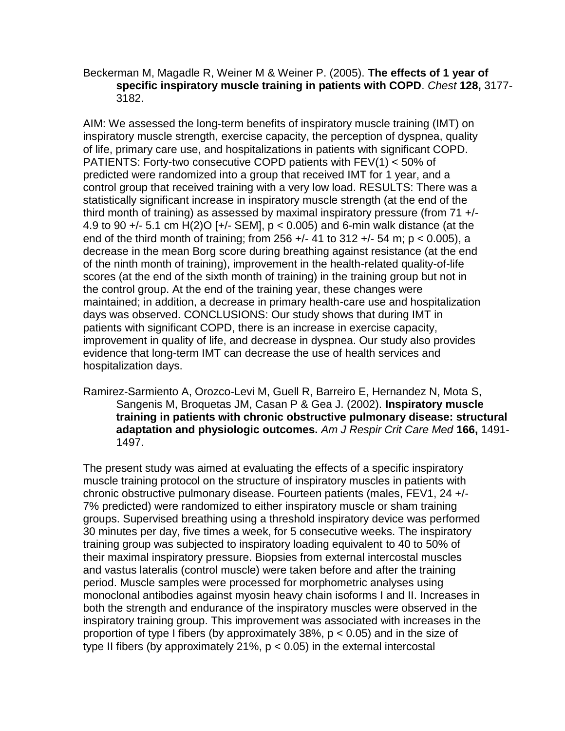#### Beckerman M, Magadle R, Weiner M & Weiner P. (2005). **The effects of 1 year of specific inspiratory muscle training in patients with COPD**. *Chest* **128,** 3177- 3182.

AIM: We assessed the long-term benefits of inspiratory muscle training (IMT) on inspiratory muscle strength, exercise capacity, the perception of dyspnea, quality of life, primary care use, and hospitalizations in patients with significant COPD. PATIENTS: Forty-two consecutive COPD patients with FEV(1) < 50% of predicted were randomized into a group that received IMT for 1 year, and a control group that received training with a very low load. RESULTS: There was a statistically significant increase in inspiratory muscle strength (at the end of the third month of training) as assessed by maximal inspiratory pressure (from 71 +/- 4.9 to 90 +/- 5.1 cm H(2)O [+/- SEM], p < 0.005) and 6-min walk distance (at the end of the third month of training; from 256  $+/-$  41 to 312  $+/-$  54 m; p < 0.005), a decrease in the mean Borg score during breathing against resistance (at the end of the ninth month of training), improvement in the health-related quality-of-life scores (at the end of the sixth month of training) in the training group but not in the control group. At the end of the training year, these changes were maintained; in addition, a decrease in primary health-care use and hospitalization days was observed. CONCLUSIONS: Our study shows that during IMT in patients with significant COPD, there is an increase in exercise capacity, improvement in quality of life, and decrease in dyspnea. Our study also provides evidence that long-term IMT can decrease the use of health services and hospitalization days.

Ramirez-Sarmiento A, Orozco-Levi M, Guell R, Barreiro E, Hernandez N, Mota S, Sangenis M, Broquetas JM, Casan P & Gea J. (2002). **Inspiratory muscle training in patients with chronic obstructive pulmonary disease: structural adaptation and physiologic outcomes.** *Am J Respir Crit Care Med* **166,** 1491- 1497.

The present study was aimed at evaluating the effects of a specific inspiratory muscle training protocol on the structure of inspiratory muscles in patients with chronic obstructive pulmonary disease. Fourteen patients (males, FEV1, 24 +/- 7% predicted) were randomized to either inspiratory muscle or sham training groups. Supervised breathing using a threshold inspiratory device was performed 30 minutes per day, five times a week, for 5 consecutive weeks. The inspiratory training group was subjected to inspiratory loading equivalent to 40 to 50% of their maximal inspiratory pressure. Biopsies from external intercostal muscles and vastus lateralis (control muscle) were taken before and after the training period. Muscle samples were processed for morphometric analyses using monoclonal antibodies against myosin heavy chain isoforms I and II. Increases in both the strength and endurance of the inspiratory muscles were observed in the inspiratory training group. This improvement was associated with increases in the proportion of type I fibers (by approximately 38%,  $p < 0.05$ ) and in the size of type II fibers (by approximately 21%,  $p < 0.05$ ) in the external intercostal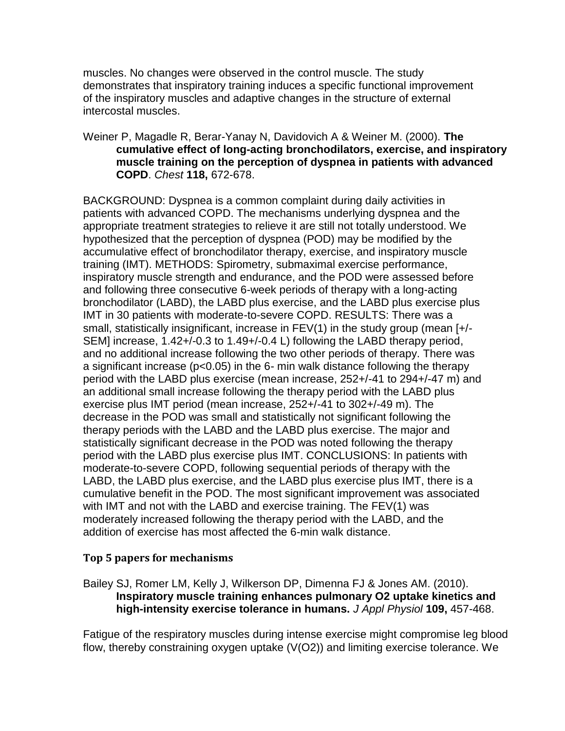muscles. No changes were observed in the control muscle. The study demonstrates that inspiratory training induces a specific functional improvement of the inspiratory muscles and adaptive changes in the structure of external intercostal muscles.

#### Weiner P, Magadle R, Berar-Yanay N, Davidovich A & Weiner M. (2000). **The cumulative effect of long-acting bronchodilators, exercise, and inspiratory muscle training on the perception of dyspnea in patients with advanced COPD**. *Chest* **118,** 672-678.

BACKGROUND: Dyspnea is a common complaint during daily activities in patients with advanced COPD. The mechanisms underlying dyspnea and the appropriate treatment strategies to relieve it are still not totally understood. We hypothesized that the perception of dyspnea (POD) may be modified by the accumulative effect of bronchodilator therapy, exercise, and inspiratory muscle training (IMT). METHODS: Spirometry, submaximal exercise performance, inspiratory muscle strength and endurance, and the POD were assessed before and following three consecutive 6-week periods of therapy with a long-acting bronchodilator (LABD), the LABD plus exercise, and the LABD plus exercise plus IMT in 30 patients with moderate-to-severe COPD. RESULTS: There was a small, statistically insignificant, increase in FEV(1) in the study group (mean [+/- SEM] increase, 1.42+/-0.3 to 1.49+/-0.4 L) following the LABD therapy period, and no additional increase following the two other periods of therapy. There was a significant increase (p<0.05) in the 6- min walk distance following the therapy period with the LABD plus exercise (mean increase, 252+/-41 to 294+/-47 m) and an additional small increase following the therapy period with the LABD plus exercise plus IMT period (mean increase, 252+/-41 to 302+/-49 m). The decrease in the POD was small and statistically not significant following the therapy periods with the LABD and the LABD plus exercise. The major and statistically significant decrease in the POD was noted following the therapy period with the LABD plus exercise plus IMT. CONCLUSIONS: In patients with moderate-to-severe COPD, following sequential periods of therapy with the LABD, the LABD plus exercise, and the LABD plus exercise plus IMT, there is a cumulative benefit in the POD. The most significant improvement was associated with IMT and not with the LABD and exercise training. The FEV(1) was moderately increased following the therapy period with the LABD, and the addition of exercise has most affected the 6-min walk distance.

# **Top 5 papers for mechanisms**

Bailey SJ, Romer LM, Kelly J, Wilkerson DP, Dimenna FJ & Jones AM. (2010). **Inspiratory muscle training enhances pulmonary O2 uptake kinetics and high-intensity exercise tolerance in humans.** *J Appl Physiol* **109,** 457-468.

Fatigue of the respiratory muscles during intense exercise might compromise leg blood flow, thereby constraining oxygen uptake (V(O2)) and limiting exercise tolerance. We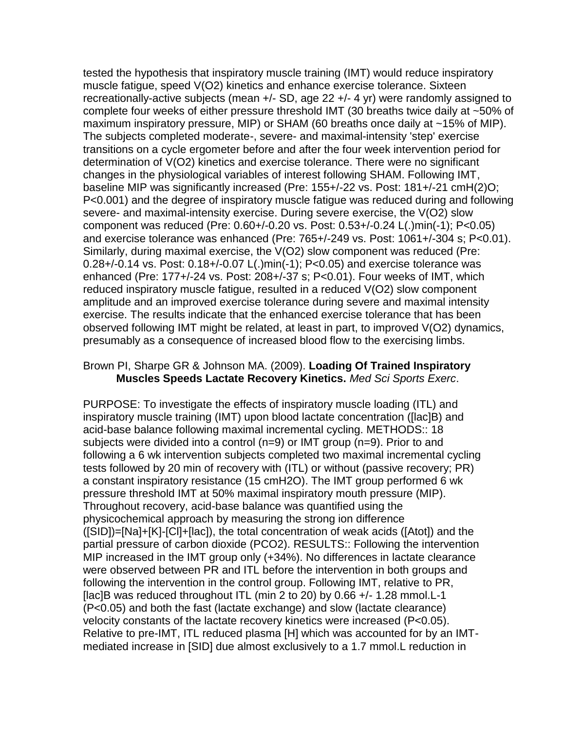tested the hypothesis that inspiratory muscle training (IMT) would reduce inspiratory muscle fatigue, speed V(O2) kinetics and enhance exercise tolerance. Sixteen recreationally-active subjects (mean +/- SD, age 22 +/- 4 yr) were randomly assigned to complete four weeks of either pressure threshold IMT (30 breaths twice daily at ~50% of maximum inspiratory pressure, MIP) or SHAM (60 breaths once daily at ~15% of MIP). The subjects completed moderate-, severe- and maximal-intensity 'step' exercise transitions on a cycle ergometer before and after the four week intervention period for determination of V(O2) kinetics and exercise tolerance. There were no significant changes in the physiological variables of interest following SHAM. Following IMT, baseline MIP was significantly increased (Pre: 155+/-22 vs. Post: 181+/-21 cmH(2)O; P<0.001) and the degree of inspiratory muscle fatigue was reduced during and following severe- and maximal-intensity exercise. During severe exercise, the V(O2) slow component was reduced (Pre: 0.60+/-0.20 vs. Post: 0.53+/-0.24 L(.)min(-1); P<0.05) and exercise tolerance was enhanced (Pre: 765+/-249 vs. Post: 1061+/-304 s; P<0.01). Similarly, during maximal exercise, the V(O2) slow component was reduced (Pre: 0.28+/-0.14 vs. Post: 0.18+/-0.07 L(.)min(-1); P<0.05) and exercise tolerance was enhanced (Pre: 177+/-24 vs. Post: 208+/-37 s; P<0.01). Four weeks of IMT, which reduced inspiratory muscle fatigue, resulted in a reduced V(O2) slow component amplitude and an improved exercise tolerance during severe and maximal intensity exercise. The results indicate that the enhanced exercise tolerance that has been observed following IMT might be related, at least in part, to improved V(O2) dynamics, presumably as a consequence of increased blood flow to the exercising limbs.

## Brown PI, Sharpe GR & Johnson MA. (2009). **Loading Of Trained Inspiratory Muscles Speeds Lactate Recovery Kinetics.** *Med Sci Sports Exerc*.

PURPOSE: To investigate the effects of inspiratory muscle loading (ITL) and inspiratory muscle training (IMT) upon blood lactate concentration ([lac]B) and acid-base balance following maximal incremental cycling. METHODS:: 18 subjects were divided into a control (n=9) or IMT group (n=9). Prior to and following a 6 wk intervention subjects completed two maximal incremental cycling tests followed by 20 min of recovery with (ITL) or without (passive recovery; PR) a constant inspiratory resistance (15 cmH2O). The IMT group performed 6 wk pressure threshold IMT at 50% maximal inspiratory mouth pressure (MIP). Throughout recovery, acid-base balance was quantified using the physicochemical approach by measuring the strong ion difference ([SID])=[Na]+[K]-[Cl]+[lac]), the total concentration of weak acids ([Atot]) and the partial pressure of carbon dioxide (PCO2). RESULTS:: Following the intervention MIP increased in the IMT group only (+34%). No differences in lactate clearance were observed between PR and ITL before the intervention in both groups and following the intervention in the control group. Following IMT, relative to PR, [lac]B was reduced throughout ITL (min 2 to 20) by 0.66 +/- 1.28 mmol.L-1 (P<0.05) and both the fast (lactate exchange) and slow (lactate clearance) velocity constants of the lactate recovery kinetics were increased (P<0.05). Relative to pre-IMT, ITL reduced plasma [H] which was accounted for by an IMTmediated increase in [SID] due almost exclusively to a 1.7 mmol.L reduction in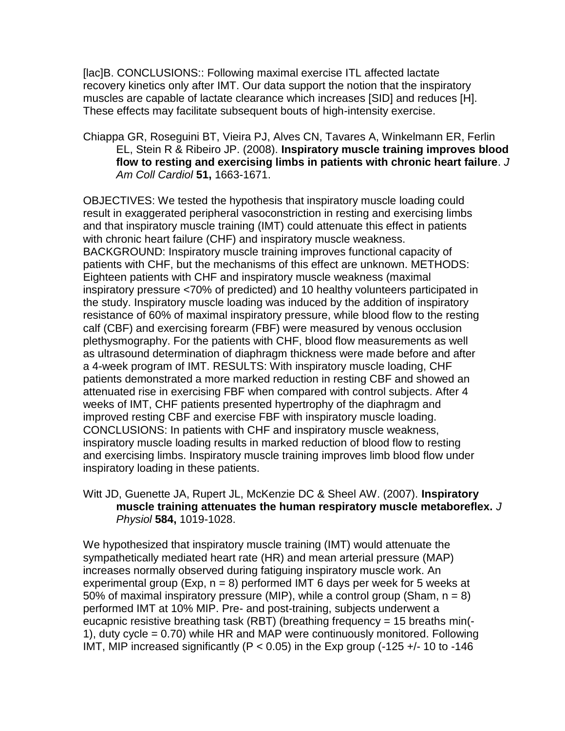[lac]B. CONCLUSIONS:: Following maximal exercise ITL affected lactate recovery kinetics only after IMT. Our data support the notion that the inspiratory muscles are capable of lactate clearance which increases [SID] and reduces [H]. These effects may facilitate subsequent bouts of high-intensity exercise.

Chiappa GR, Roseguini BT, Vieira PJ, Alves CN, Tavares A, Winkelmann ER, Ferlin EL, Stein R & Ribeiro JP. (2008). **Inspiratory muscle training improves blood flow to resting and exercising limbs in patients with chronic heart failure**. *J Am Coll Cardiol* **51,** 1663-1671.

OBJECTIVES: We tested the hypothesis that inspiratory muscle loading could result in exaggerated peripheral vasoconstriction in resting and exercising limbs and that inspiratory muscle training (IMT) could attenuate this effect in patients with chronic heart failure (CHF) and inspiratory muscle weakness. BACKGROUND: Inspiratory muscle training improves functional capacity of patients with CHF, but the mechanisms of this effect are unknown. METHODS: Eighteen patients with CHF and inspiratory muscle weakness (maximal inspiratory pressure <70% of predicted) and 10 healthy volunteers participated in the study. Inspiratory muscle loading was induced by the addition of inspiratory resistance of 60% of maximal inspiratory pressure, while blood flow to the resting calf (CBF) and exercising forearm (FBF) were measured by venous occlusion plethysmography. For the patients with CHF, blood flow measurements as well as ultrasound determination of diaphragm thickness were made before and after a 4-week program of IMT. RESULTS: With inspiratory muscle loading, CHF patients demonstrated a more marked reduction in resting CBF and showed an attenuated rise in exercising FBF when compared with control subjects. After 4 weeks of IMT, CHF patients presented hypertrophy of the diaphragm and improved resting CBF and exercise FBF with inspiratory muscle loading. CONCLUSIONS: In patients with CHF and inspiratory muscle weakness, inspiratory muscle loading results in marked reduction of blood flow to resting and exercising limbs. Inspiratory muscle training improves limb blood flow under inspiratory loading in these patients.

Witt JD, Guenette JA, Rupert JL, McKenzie DC & Sheel AW. (2007). **Inspiratory muscle training attenuates the human respiratory muscle metaboreflex.** *J Physiol* **584,** 1019-1028.

We hypothesized that inspiratory muscle training (IMT) would attenuate the sympathetically mediated heart rate (HR) and mean arterial pressure (MAP) increases normally observed during fatiguing inspiratory muscle work. An experimental group (Exp,  $n = 8$ ) performed IMT 6 days per week for 5 weeks at 50% of maximal inspiratory pressure (MIP), while a control group (Sham,  $n = 8$ ) performed IMT at 10% MIP. Pre- and post-training, subjects underwent a eucapnic resistive breathing task (RBT) (breathing frequency = 15 breaths min(- 1), duty cycle = 0.70) while HR and MAP were continuously monitored. Following IMT, MIP increased significantly ( $P < 0.05$ ) in the Exp group (-125 +/-10 to -146